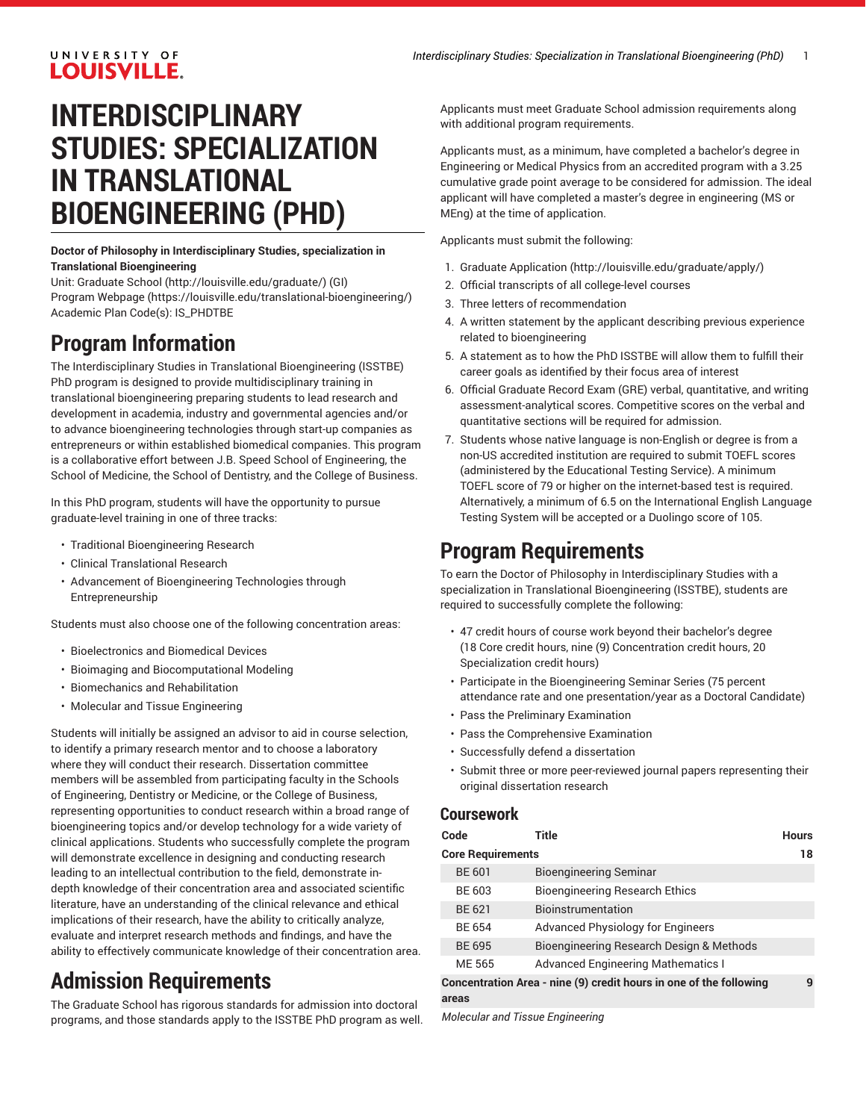### UNIVERSITY OF LOUISVILLE.

# **INTERDISCIPLINARY STUDIES: SPECIALIZATION IN TRANSLATIONAL BIOENGINEERING (PHD)**

**Doctor of Philosophy in Interdisciplinary Studies, specialization in Translational Bioengineering**

Unit: [Graduate School \(http://louisville.edu/graduate/](http://louisville.edu/graduate/)) (GI) Program [Webpage](https://louisville.edu/translational-bioengineering/) [\(https://louisville.edu/translational-bioengineering/\)](https://louisville.edu/translational-bioengineering/) Academic Plan Code(s): IS\_PHDTBE

## **Program Information**

The Interdisciplinary Studies in Translational Bioengineering (ISSTBE) PhD program is designed to provide multidisciplinary training in translational bioengineering preparing students to lead research and development in academia, industry and governmental agencies and/or to advance bioengineering technologies through start-up companies as entrepreneurs or within established biomedical companies. This program is a collaborative effort between J.B. Speed School of Engineering, the School of Medicine, the School of Dentistry, and the College of Business.

In this PhD program, students will have the opportunity to pursue graduate-level training in one of three tracks:

- Traditional Bioengineering Research
- Clinical Translational Research
- Advancement of Bioengineering Technologies through Entrepreneurship

Students must also choose one of the following concentration areas:

- Bioelectronics and Biomedical Devices
- Bioimaging and Biocomputational Modeling
- Biomechanics and Rehabilitation
- Molecular and Tissue Engineering

Students will initially be assigned an advisor to aid in course selection, to identify a primary research mentor and to choose a laboratory where they will conduct their research. Dissertation committee members will be assembled from participating faculty in the Schools of Engineering, Dentistry or Medicine, or the College of Business, representing opportunities to conduct research within a broad range of bioengineering topics and/or develop technology for a wide variety of clinical applications. Students who successfully complete the program will demonstrate excellence in designing and conducting research leading to an intellectual contribution to the field, demonstrate indepth knowledge of their concentration area and associated scientific literature, have an understanding of the clinical relevance and ethical implications of their research, have the ability to critically analyze, evaluate and interpret research methods and findings, and have the ability to effectively communicate knowledge of their concentration area.

## **Admission Requirements**

The Graduate School has rigorous standards for admission into doctoral programs, and those standards apply to the ISSTBE PhD program as well. Applicants must meet Graduate School admission requirements along with additional program requirements.

Applicants must, as a minimum, have completed a bachelor's degree in Engineering or Medical Physics from an accredited program with a 3.25 cumulative grade point average to be considered for admission. The ideal applicant will have completed a master's degree in engineering (MS or MEng) at the time of application.

Applicants must submit the following:

- 1. [Graduate Application](http://louisville.edu/graduate/apply/) ([http://louisville.edu/graduate/apply/\)](http://louisville.edu/graduate/apply/)
- 2. Official transcripts of all college-level courses
- 3. Three letters of recommendation
- 4. A written statement by the applicant describing previous experience related to bioengineering
- 5. A statement as to how the PhD ISSTBE will allow them to fulfill their career goals as identified by their focus area of interest
- 6. Official Graduate Record Exam (GRE) verbal, quantitative, and writing assessment-analytical scores. Competitive scores on the verbal and quantitative sections will be required for admission.
- 7. Students whose native language is non-English or degree is from a non-US accredited institution are required to submit TOEFL scores (administered by the Educational Testing Service). A minimum TOEFL score of 79 or higher on the internet-based test is required. Alternatively, a minimum of 6.5 on the International English Language Testing System will be accepted or a Duolingo score of 105.

## **Program Requirements**

To earn the Doctor of Philosophy in Interdisciplinary Studies with a specialization in Translational Bioengineering (ISSTBE), students are required to successfully complete the following:

- 47 credit hours of course work beyond their bachelor's degree (18 Core credit hours, nine (9) Concentration credit hours, 20 Specialization credit hours)
- Participate in the Bioengineering Seminar Series (75 percent attendance rate and one presentation/year as a Doctoral Candidate)
- Pass the Preliminary Examination
- Pass the Comprehensive Examination
- Successfully defend a dissertation
- Submit three or more peer-reviewed journal papers representing their original dissertation research

#### **Coursework**

| Code                                                                        | Title                                     | <b>Hours</b> |  |
|-----------------------------------------------------------------------------|-------------------------------------------|--------------|--|
| <b>Core Requirements</b>                                                    |                                           |              |  |
| <b>BE 601</b>                                                               | Bioengineering Seminar                    |              |  |
| BE 603                                                                      | <b>Bioengineering Research Ethics</b>     |              |  |
| BE 621                                                                      | Bioinstrumentation                        |              |  |
| BE 654                                                                      | <b>Advanced Physiology for Engineers</b>  |              |  |
| <b>BE 695</b>                                                               | Bioengineering Research Design & Methods  |              |  |
| ME 565                                                                      | <b>Advanced Engineering Mathematics I</b> |              |  |
| Concentration Area - nine (9) credit hours in one of the following<br>areas |                                           |              |  |

*Molecular and Tissue Engineering*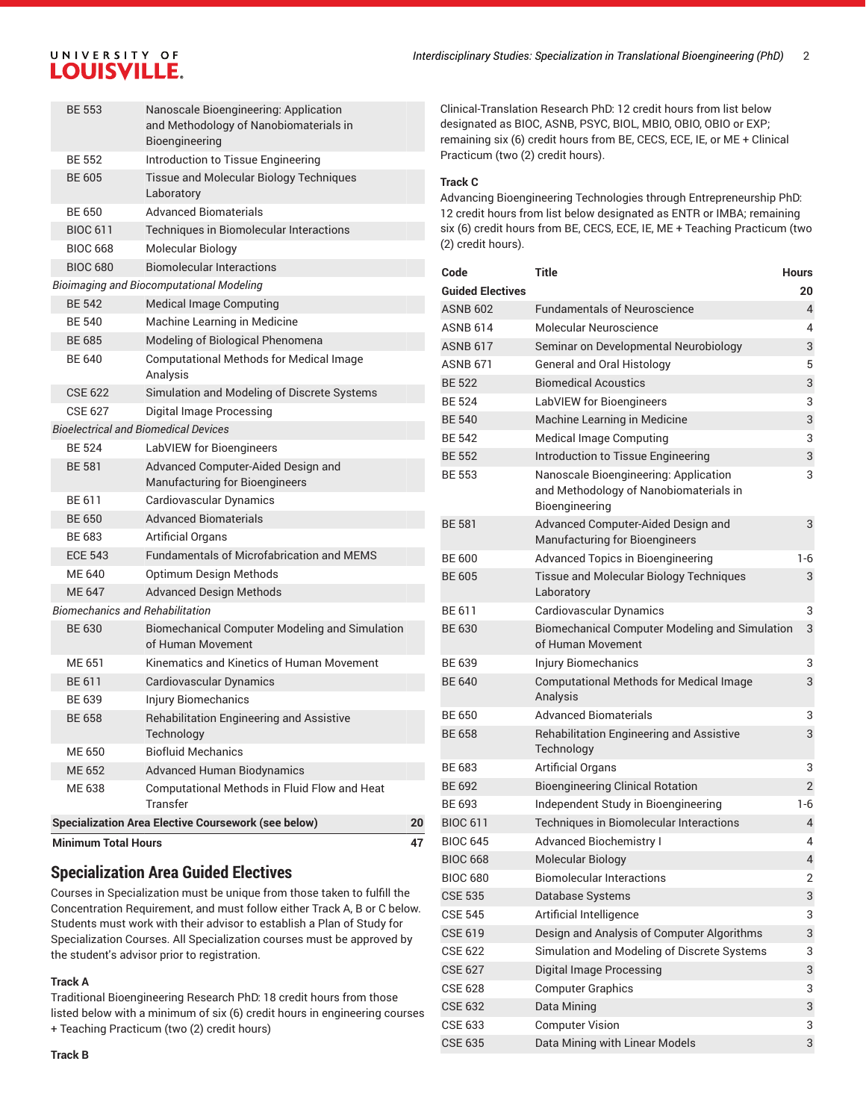## UNIVERSITY OF LOUISVILLE.

|                                                 | <b>Minimum Total Hours</b>             |                                                                      | 47 |  |
|-------------------------------------------------|----------------------------------------|----------------------------------------------------------------------|----|--|
|                                                 |                                        | <b>Specialization Area Elective Coursework (see below)</b>           | 20 |  |
|                                                 |                                        | Transfer                                                             |    |  |
|                                                 | ME 638                                 | Computational Methods in Fluid Flow and Heat                         |    |  |
|                                                 | ME 652                                 | <b>Advanced Human Biodynamics</b>                                    |    |  |
|                                                 | ME 650                                 | <b>Biofluid Mechanics</b>                                            |    |  |
|                                                 |                                        | Technology                                                           |    |  |
|                                                 | BE 639<br><b>BE 658</b>                | Injury Biomechanics<br>Rehabilitation Engineering and Assistive      |    |  |
|                                                 | BE 611                                 | Cardiovascular Dynamics                                              |    |  |
|                                                 | ME 651                                 | Kinematics and Kinetics of Human Movement                            |    |  |
|                                                 |                                        | of Human Movement                                                    |    |  |
|                                                 | <b>BE 630</b>                          | <b>Biomechanical Computer Modeling and Simulation</b>                |    |  |
|                                                 | <b>Biomechanics and Rehabilitation</b> |                                                                      |    |  |
|                                                 | <b>ME 647</b>                          | <b>Advanced Design Methods</b>                                       |    |  |
|                                                 | ME 640                                 | Optimum Design Methods                                               |    |  |
|                                                 | <b>ECE 543</b>                         | <b>Fundamentals of Microfabrication and MEMS</b>                     |    |  |
|                                                 | BE 683                                 | <b>Artificial Organs</b>                                             |    |  |
|                                                 | <b>BE 650</b>                          | <b>Advanced Biomaterials</b>                                         |    |  |
|                                                 | BF 611                                 | Cardiovascular Dynamics                                              |    |  |
|                                                 | <b>BE 581</b>                          | Advanced Computer-Aided Design and<br>Manufacturing for Bioengineers |    |  |
|                                                 | <b>BF 524</b>                          | LabVIEW for Bioengineers                                             |    |  |
|                                                 |                                        | <b>Bioelectrical and Biomedical Devices</b>                          |    |  |
|                                                 | <b>CSE 627</b>                         | Digital Image Processing                                             |    |  |
|                                                 | CSE 622                                | Simulation and Modeling of Discrete Systems                          |    |  |
|                                                 |                                        | <b>Computational Methods for Medical Image</b><br>Analysis           |    |  |
|                                                 | <b>BE 640</b>                          | Modeling of Biological Phenomena                                     |    |  |
|                                                 | <b>BE 540</b><br><b>BE 685</b>         | Machine Learning in Medicine                                         |    |  |
|                                                 | <b>BE 542</b>                          | <b>Medical Image Computing</b>                                       |    |  |
| <b>Bioimaging and Biocomputational Modeling</b> |                                        |                                                                      |    |  |
|                                                 | <b>BIOC 680</b>                        | <b>Biomolecular Interactions</b>                                     |    |  |
|                                                 | <b>BIOC 668</b>                        | Molecular Biology                                                    |    |  |
|                                                 | <b>BIOC 611</b>                        | Techniques in Biomolecular Interactions                              |    |  |
|                                                 | <b>BE 650</b>                          | <b>Advanced Biomaterials</b>                                         |    |  |
|                                                 |                                        | Laboratory                                                           |    |  |
|                                                 | <b>BE 605</b>                          | Tissue and Molecular Biology Techniques                              |    |  |
|                                                 | <b>BE 552</b>                          | Introduction to Tissue Engineering                                   |    |  |
|                                                 |                                        | and Methodology of Nanobiomaterials in<br>Bioengineering             |    |  |
|                                                 | <b>BF 553</b>                          | Nanoscale Bioengineering: Application                                |    |  |

## **Specialization Area Guided Electives**

Courses in Specialization must be unique from those taken to fulfill the Concentration Requirement, and must follow either Track A, B or C below. Students must work with their advisor to establish a Plan of Study for Specialization Courses. All Specialization courses must be approved by the student's advisor prior to registration.

#### **Track A**

Traditional Bioengineering Research PhD: 18 credit hours from those listed below with a minimum of six (6) credit hours in engineering courses + Teaching Practicum (two (2) credit hours)

Clinical-Translation Research PhD: 12 credit hours from list below designated as BIOC, ASNB, PSYC, BIOL, MBIO, OBIO, OBIO or EXP; remaining six (6) credit hours from BE, CECS, ECE, IE, or ME + Clinical Practicum (two (2) credit hours).

#### **Track C**

Advancing Bioengineering Technologies through Entrepreneurship PhD: 12 credit hours from list below designated as ENTR or IMBA; remaining six (6) credit hours from BE, CECS, ECE, IE, ME + Teaching Practicum (two (2) credit hours).

| Code                    | <b>Title</b>                                                                                      | <b>Hours</b>   |
|-------------------------|---------------------------------------------------------------------------------------------------|----------------|
| <b>Guided Electives</b> |                                                                                                   | 20             |
| <b>ASNB 602</b>         | <b>Fundamentals of Neuroscience</b>                                                               | $\overline{4}$ |
| <b>ASNB 614</b>         | Molecular Neuroscience                                                                            | 4              |
| <b>ASNB 617</b>         | Seminar on Developmental Neurobiology                                                             | 3              |
| <b>ASNB 671</b>         | General and Oral Histology                                                                        | 5              |
| <b>BE 522</b>           | <b>Biomedical Acoustics</b>                                                                       | 3              |
| <b>BE 524</b>           | LabVIEW for Bioengineers                                                                          | 3              |
| <b>BE 540</b>           | Machine Learning in Medicine                                                                      | 3              |
| <b>BE 542</b>           | Medical Image Computing                                                                           | 3              |
| <b>BE 552</b>           | Introduction to Tissue Engineering                                                                | 3              |
| <b>BE 553</b>           | Nanoscale Bioengineering: Application<br>and Methodology of Nanobiomaterials in<br>Bioengineering | 3              |
| <b>BE 581</b>           | Advanced Computer-Aided Design and<br>Manufacturing for Bioengineers                              | 3              |
| <b>BE 600</b>           | Advanced Topics in Bioengineering                                                                 | 1-6            |
| <b>BE 605</b>           | Tissue and Molecular Biology Techniques<br>Laboratory                                             | 3              |
| BE 611                  | Cardiovascular Dynamics                                                                           | 3              |
| <b>BE 630</b>           | <b>Biomechanical Computer Modeling and Simulation</b><br>of Human Movement                        | 3              |
| BE 639                  | <b>Injury Biomechanics</b>                                                                        | 3              |
| <b>BE 640</b>           | <b>Computational Methods for Medical Image</b><br>Analysis                                        | 3              |
| <b>BE 650</b>           | Advanced Biomaterials                                                                             | 3              |
| <b>BE 658</b>           | Rehabilitation Engineering and Assistive<br>Technology                                            | 3              |
| BE 683                  | <b>Artificial Organs</b>                                                                          | 3              |
| <b>BE 692</b>           | <b>Bioengineering Clinical Rotation</b>                                                           | $\overline{2}$ |
| BE 693                  | Independent Study in Bioengineering                                                               | 1-6            |
| <b>BIOC 611</b>         | Techniques in Biomolecular Interactions                                                           | 4              |
| <b>BIOC 645</b>         | <b>Advanced Biochemistry I</b>                                                                    | 4              |
| <b>BIOC 668</b>         | Molecular Biology                                                                                 | 4              |
| <b>BIOC 680</b>         | <b>Biomolecular Interactions</b>                                                                  | $\overline{2}$ |
| <b>CSE 535</b>          | Database Systems                                                                                  | 3              |
| <b>CSE 545</b>          | Artificial Intelligence                                                                           | 3              |
| <b>CSE 619</b>          | Design and Analysis of Computer Algorithms                                                        | 3              |
| <b>CSE 622</b>          | Simulation and Modeling of Discrete Systems                                                       | 3              |
| <b>CSE 627</b>          | <b>Digital Image Processing</b>                                                                   | 3              |
| <b>CSE 628</b>          | <b>Computer Graphics</b>                                                                          | 3              |
| <b>CSE 632</b>          | Data Mining                                                                                       | 3              |
| <b>CSE 633</b>          | <b>Computer Vision</b>                                                                            | 3              |
| <b>CSE 635</b>          | Data Mining with Linear Models                                                                    | 3              |